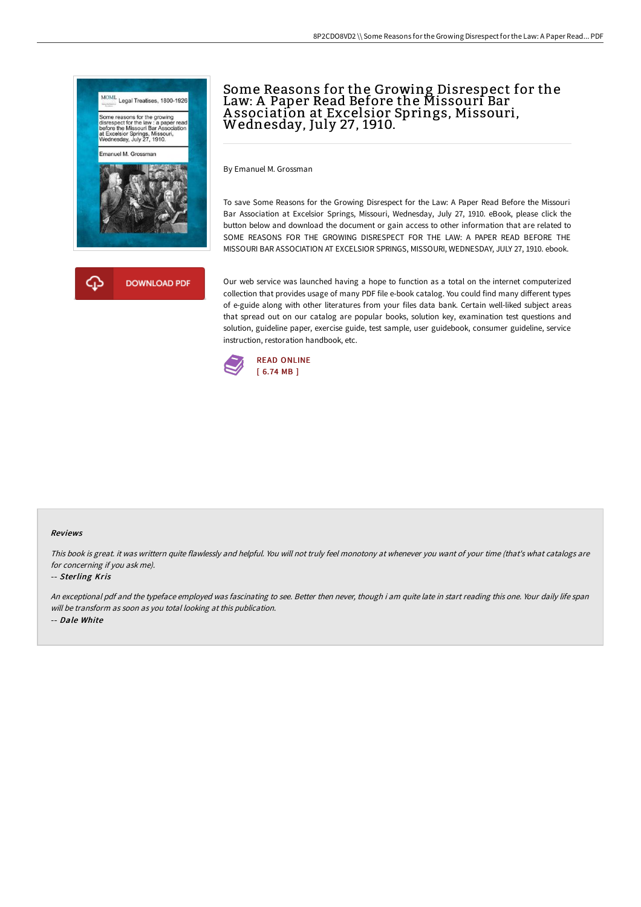



# Some Reasons for the Growing Disrespect for the Law: A Paper Read Before the Missouri Bar Association at Excelsior Springs, Missouri,<br>Wednesday, July 27, 1910.

By Emanuel M. Grossman

To save Some Reasons for the Growing Disrespect for the Law: A Paper Read Before the Missouri Bar Association at Excelsior Springs, Missouri, Wednesday, July 27, 1910. eBook, please click the button below and download the document or gain access to other information that are related to SOME REASONS FOR THE GROWING DISRESPECT FOR THE LAW: A PAPER READ BEFORE THE MISSOURI BAR ASSOCIATION AT EXCELSIOR SPRINGS, MISSOURI, WEDNESDAY, JULY 27, 1910. ebook.

Our web service was launched having a hope to function as a total on the internet computerized collection that provides usage of many PDF file e-book catalog. You could find many different types of e-guide along with other literatures from your files data bank. Certain well-liked subject areas that spread out on our catalog are popular books, solution key, examination test questions and solution, guideline paper, exercise guide, test sample, user guidebook, consumer guideline, service instruction, restoration handbook, etc.



### Reviews

This book is great. it was writtern quite flawlessly and helpful. You will not truly feel monotony at whenever you want of your time (that's what catalogs are for concerning if you ask me).

#### -- Sterling Kris

An exceptional pdf and the typeface employed was fascinating to see. Better then never, though i am quite late in start reading this one. Your daily life span will be transform as soon as you total looking at this publication. -- Dale White